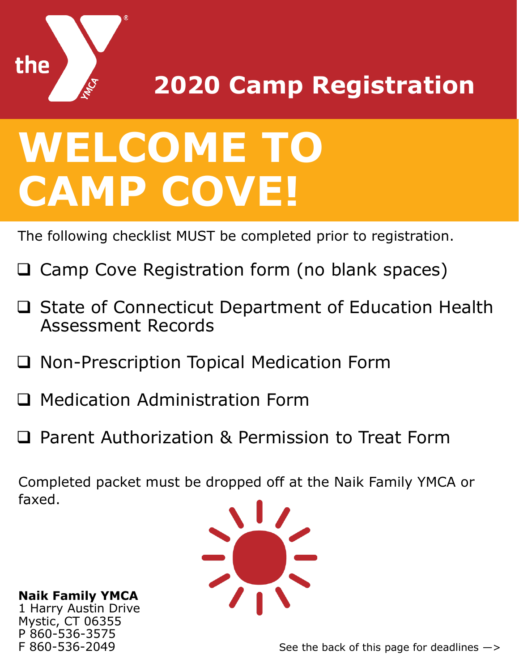

**2020 Camp Registration**

## **WELCOME TO CAMP COVE!**

The following checklist MUST be completed prior to registration.

- Camp Cove Registration form (no blank spaces)
- ❑ State of Connecticut Department of Education Health Assessment Records
- ❑ Non-Prescription Topical Medication Form
- ❑ Medication Administration Form
- ❑ Parent Authorization & Permission to Treat Form

Completed packet must be dropped off at the Naik Family YMCA or faxed.



**Naik Family YMCA** 1 Harry Austin Drive Mystic, CT 06355 P 860-536-3575 F 860-536-2049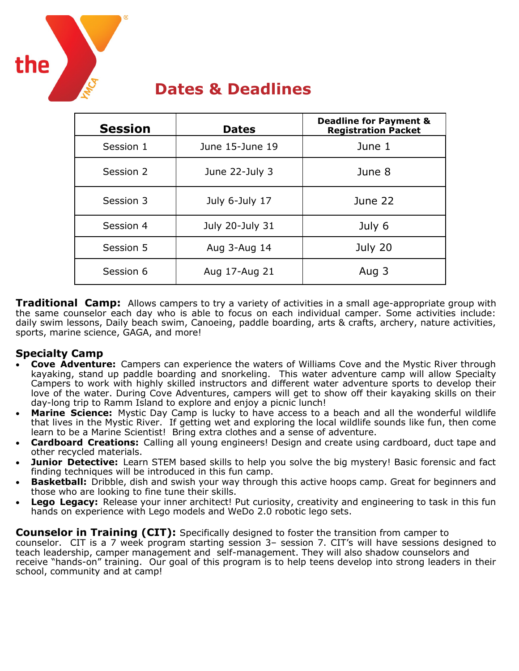

## **Dates & Deadlines**

| <b>Session</b> | <b>Dates</b>    | <b>Deadline for Payment &amp;</b><br><b>Registration Packet</b> |
|----------------|-----------------|-----------------------------------------------------------------|
| Session 1      | June 15-June 19 | June 1                                                          |
| Session 2      | June 22-July 3  | June 8                                                          |
| Session 3      | July 6-July 17  | June 22                                                         |
| Session 4      | July 20-July 31 | July 6                                                          |
| Session 5      | Aug 3-Aug 14    | July 20                                                         |
| Session 6      | Aug 17-Aug 21   | Aug 3                                                           |

**Traditional Camp:** Allows campers to try a variety of activities in a small age-appropriate group with the same counselor each day who is able to focus on each individual camper. Some activities include: daily swim lessons, Daily beach swim, Canoeing, paddle boarding, arts & crafts, archery, nature activities, sports, marine science, GAGA, and more!

#### **Specialty Camp**

- **Cove Adventure:** Campers can experience the waters of Williams Cove and the Mystic River through kayaking, stand up paddle boarding and snorkeling. This water adventure camp will allow Specialty Campers to work with highly skilled instructors and different water adventure sports to develop their love of the water. During Cove Adventures, campers will get to show off their kayaking skills on their day-long trip to Ramm Island to explore and enjoy a picnic lunch!
- **Marine Science:** Mystic Day Camp is lucky to have access to a beach and all the wonderful wildlife that lives in the Mystic River. If getting wet and exploring the local wildlife sounds like fun, then come learn to be a Marine Scientist! Bring extra clothes and a sense of adventure.
- **Cardboard Creations:** Calling all young engineers! Design and create using cardboard, duct tape and other recycled materials.
- **Junior Detective:** Learn STEM based skills to help you solve the big mystery! Basic forensic and fact finding techniques will be introduced in this fun camp.
- **Basketball:** Dribble, dish and swish your way through this active hoops camp. Great for beginners and those who are looking to fine tune their skills.
- **Lego Legacy:** Release your inner architect! Put curiosity, creativity and engineering to task in this fun hands on experience with Lego models and WeDo 2.0 robotic lego sets.

**Counselor in Training (CIT):** Specifically designed to foster the transition from camper to counselor. CIT is a 7 week program starting session 3– session 7. CIT's will have sessions designed to teach leadership, camper management and self-management. They will also shadow counselors and receive "hands-on" training. Our goal of this program is to help teens develop into strong leaders in their school, community and at camp!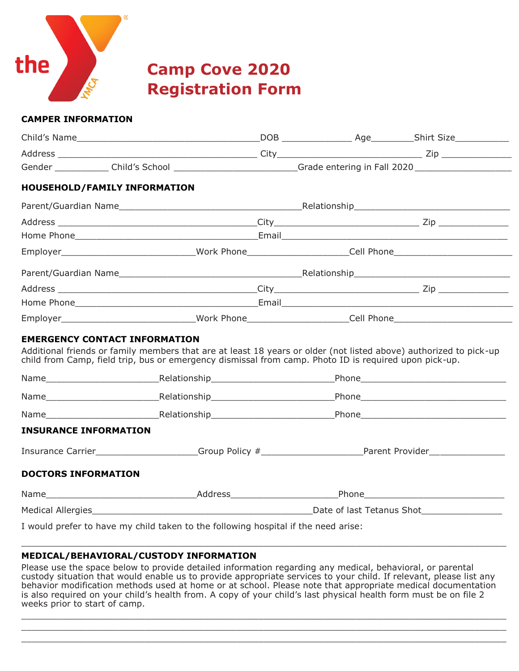

**Camp Cove 2020 Registration Form**

#### **CAMPER INFORMATION**

|                              | Gender _______________Child's School ___________________________Grade entering in Fall 2020 __________________                                                                                                                                                     |  |  |  |  |  |
|------------------------------|--------------------------------------------------------------------------------------------------------------------------------------------------------------------------------------------------------------------------------------------------------------------|--|--|--|--|--|
|                              | HOUSEHOLD/FAMILY INFORMATION                                                                                                                                                                                                                                       |  |  |  |  |  |
|                              |                                                                                                                                                                                                                                                                    |  |  |  |  |  |
|                              |                                                                                                                                                                                                                                                                    |  |  |  |  |  |
|                              |                                                                                                                                                                                                                                                                    |  |  |  |  |  |
|                              | Employer________________________________Work Phone_____________________Cell Phone_____________________________                                                                                                                                                     |  |  |  |  |  |
|                              |                                                                                                                                                                                                                                                                    |  |  |  |  |  |
|                              |                                                                                                                                                                                                                                                                    |  |  |  |  |  |
|                              |                                                                                                                                                                                                                                                                    |  |  |  |  |  |
|                              | Employer_______________________________Work Phone_____________________Cell Phone__________________________                                                                                                                                                         |  |  |  |  |  |
|                              | <b>EMERGENCY CONTACT INFORMATION</b><br>Additional friends or family members that are at least 18 years or older (not listed above) authorized to pick-up<br>child from Camp, field trip, bus or emergency dismissal from camp. Photo ID is required upon pick-up. |  |  |  |  |  |
|                              |                                                                                                                                                                                                                                                                    |  |  |  |  |  |
|                              |                                                                                                                                                                                                                                                                    |  |  |  |  |  |
|                              | Name Relationship Phone Phone Relationship                                                                                                                                                                                                                         |  |  |  |  |  |
| <b>INSURANCE INFORMATION</b> |                                                                                                                                                                                                                                                                    |  |  |  |  |  |
|                              | Insurance Carrier____________________Group Policy #_____________________________Parent Provider_______________                                                                                                                                                     |  |  |  |  |  |
| <b>DOCTORS INFORMATION</b>   |                                                                                                                                                                                                                                                                    |  |  |  |  |  |
|                              |                                                                                                                                                                                                                                                                    |  |  |  |  |  |
|                              |                                                                                                                                                                                                                                                                    |  |  |  |  |  |
|                              | I would prefer to have my child taken to the following hospital if the need arise:                                                                                                                                                                                 |  |  |  |  |  |

#### **MEDICAL/BEHAVIORAL/CUSTODY INFORMATION**

Please use the space below to provide detailed information regarding any medical, behavioral, or parental custody situation that would enable us to provide appropriate services to your child. If relevant, please list any behavior modification methods used at home or at school. Please note that appropriate medical documentation is also required on your child's health from. A copy of your child's last physical health form must be on file 2 weeks prior to start of camp.

 $\_$  ,  $\_$  ,  $\_$  ,  $\_$  ,  $\_$  ,  $\_$  ,  $\_$  ,  $\_$  ,  $\_$  ,  $\_$  ,  $\_$  ,  $\_$  ,  $\_$  ,  $\_$  ,  $\_$  ,  $\_$  ,  $\_$  ,  $\_$  ,  $\_$  ,  $\_$  ,  $\_$  ,  $\_$  ,  $\_$  ,  $\_$  ,  $\_$  ,  $\_$  ,  $\_$  ,  $\_$  ,  $\_$  ,  $\_$  ,  $\_$  ,  $\_$  ,  $\_$  ,  $\_$  ,  $\_$  ,  $\_$  ,  $\_$  ,  $\_$  ,  $\_$  ,  $\_$  ,  $\_$  ,  $\_$  ,  $\_$  ,  $\_$  ,  $\_$  ,  $\_$  ,  $\_$  ,  $\_$  ,  $\_$  ,  $\_$  ,  $\_$  ,  $\_$  ,  $\_$  ,  $\_$  ,  $\_$  ,  $\_$  ,  $\_$  ,  $\_$  ,  $\_$  ,  $\_$  ,  $\_$  ,  $\_$  ,  $\_$  ,  $\_$  ,  $\_$  ,  $\_$  ,  $\_$  ,  $\_$  ,  $\_$  ,  $\_$  ,  $\_$  ,  $\_$  ,  $\_$  ,  $\_$  ,  $\_$  ,  $\_$  ,  $\_$  ,  $\_$  ,  $\_$  ,  $\_$  ,  $\_$  ,  $\_$  ,  $\_$  ,  $\_$  ,  $\_$  ,  $\_$  ,  $\_$  ,  $\_$  ,  $\_$  ,  $\_$  ,  $\_$  ,  $\_$  ,  $\_$  ,  $\_$  ,  $\_$  ,  $\_$  ,  $\_$  ,  $\_$  ,  $\_$  ,  $\_$  ,  $\_$  ,  $\_$  ,  $\_$  ,  $\_$  ,  $\_$  ,  $\_$  ,  $\_$  ,  $\_$  ,  $\_$  ,  $\_$  ,  $\_$  ,

 $\_$  ,  $\_$  ,  $\_$  ,  $\_$  ,  $\_$  ,  $\_$  ,  $\_$  ,  $\_$  ,  $\_$  ,  $\_$  ,  $\_$  ,  $\_$  ,  $\_$  ,  $\_$  ,  $\_$  ,  $\_$  ,  $\_$  ,  $\_$  ,  $\_$  ,  $\_$  ,  $\_$  ,  $\_$  ,  $\_$  ,  $\_$  ,  $\_$  ,  $\_$  ,  $\_$  ,  $\_$  ,  $\_$  ,  $\_$  ,  $\_$  ,  $\_$  ,  $\_$  ,  $\_$  ,  $\_$  ,  $\_$  ,  $\_$  ,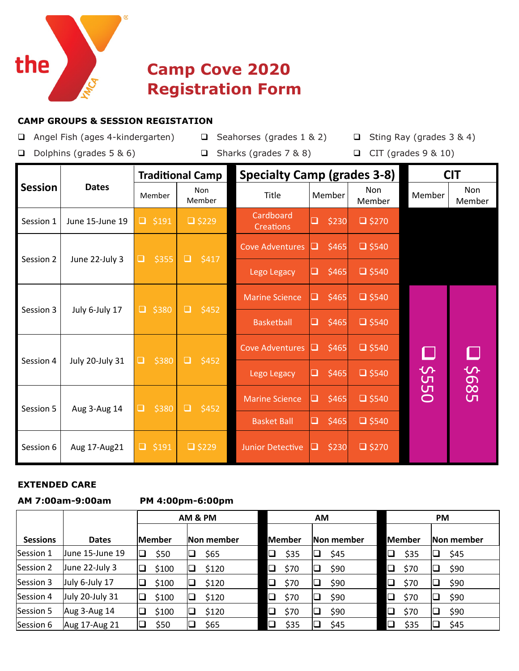

## **Camp Cove 2020 Registration Form**

#### **CAMP GROUPS & SESSION REGISTATION**

- ❑ Angel Fish (ages 4-kindergarten) ❑ Seahorses (grades 1 & 2) ❑ Sting Ray (grades 3 & 4)
	-
- 
- 
- ❑ Dolphins (grades 5 & 6) ❑ Sharks (grades 7 & 8) ❑ CIT (grades 9 & 10)

|                |                 |                                | <b>Traditional Camp</b> |                               | <b>Specialty Camp (grades 3-8)</b> |                      |                       |                      |  |  |
|----------------|-----------------|--------------------------------|-------------------------|-------------------------------|------------------------------------|----------------------|-----------------------|----------------------|--|--|
| <b>Session</b> | <b>Dates</b>    | <b>Non</b><br>Member<br>Member |                         | Title                         | Member                             | <b>Non</b><br>Member | Member                | <b>Non</b><br>Member |  |  |
| Session 1      | June 15-June 19 | $\Box$<br>\$191                | $\Box$ \$229            | Cardboard<br><b>Creations</b> | \$230<br>$\Box$                    | $\Box$ \$270         |                       |                      |  |  |
| Session 2      | June 22-July 3  | \$355<br>❏                     | $\Box$<br>\$417         | <b>Cove Adventures</b>        | \$465<br>$\Box$                    | $\Box$ \$540         |                       |                      |  |  |
|                |                 |                                |                         | Lego Legacy                   | \$465                              | $\Box$ \$540         |                       |                      |  |  |
| Session 3      | July 6-July 17  | $\Box$<br>\$380                | $\Box$<br>\$452         | <b>Marine Science</b>         | \$465                              | $\Box$ \$540         |                       |                      |  |  |
|                |                 |                                |                         | <b>Basketball</b>             | \$465<br>$\Box$                    | $\Box$ \$540         |                       |                      |  |  |
| Session 4      | July 20-July 31 | \$380<br>❏                     | \$452<br>$\Box$         | <b>Cove Adventures</b>        | \$465<br>m.                        | $\Box$ \$540         | $\mathsf{\mathsf{L}}$ |                      |  |  |
|                |                 |                                |                         | Lego Legacy                   | \$465                              | $\Box$ \$540         | <b>\$550</b>          | 589\$                |  |  |
| Session 5      | Aug 3-Aug 14    | \$380<br>❏                     | \$452<br>$\Box$         | <b>Marine Science</b>         | \$465<br>$\overline{\phantom{0}}$  | $\Box$ \$540         |                       |                      |  |  |
|                |                 |                                |                         | <b>Basket Ball</b>            | \$465<br>❏                         | $\Box$ \$540         |                       |                      |  |  |
| Session 6      | Aug 17-Aug21    | □<br>\$191                     | $\Box$ \$229            | <b>Junior Detective</b>       | \$230                              | $\Box$ \$270         |                       |                      |  |  |

#### **EXTENDED CARE**

#### **AM 7:00am-9:00am PM 4:00pm-6:00pm**

|                 |                 |         | AM & PM    |                | <b>AM</b>  | <b>PM</b>      |            |  |  |
|-----------------|-----------------|---------|------------|----------------|------------|----------------|------------|--|--|
| <b>Sessions</b> | <b>Dates</b>    | lMember | Non member | lMember        | Non member | <b>Member</b>  | Non member |  |  |
| Session 1       | June 15-June 19 | \$50    | \$65<br>⊔  | \$35<br>$\Box$ | \$45       | ❏<br>\$35      | \$45       |  |  |
| Session 2       | June 22-July 3  | \$100   | \$120      | $\Box$<br>\$70 | \$90       | $\Box$<br>\$70 | \$90       |  |  |
| Session 3       | July 6-July 17  | \$100   | \$120      | $\Box$<br>\$70 | \$90       | $\Box$<br>\$70 | \$90       |  |  |
| Session 4       | July 20-July 31 | \$100   | \$120      | $\Box$<br>\$70 | \$90       | $\Box$<br>\$70 | \$90       |  |  |
| Session 5       | Aug 3-Aug 14    | \$100   | \$120      | $\Box$<br>\$70 | \$90       | $\Box$<br>\$70 | \$90       |  |  |
| Session 6       | Aug 17-Aug 21   | \$50    | \$65       | $\Box$<br>\$35 | \$45       | \$35           | \$45       |  |  |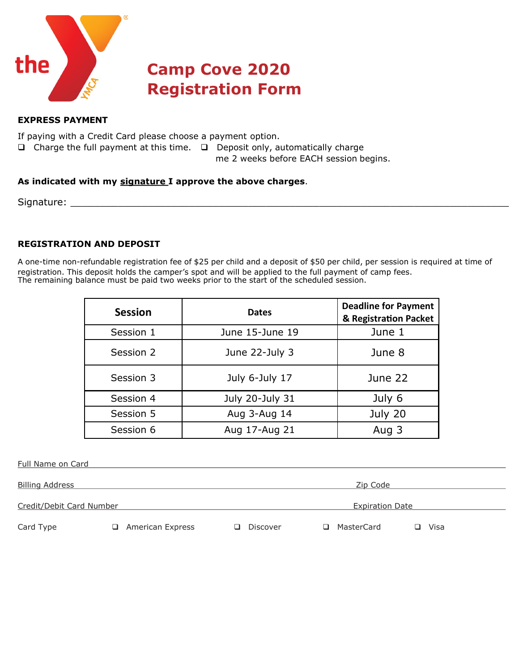

## **Camp Cove 2020 Registration Form**

#### **EXPRESS PAYMENT**

If paying with a Credit Card please choose a payment option.

❑ Charge the full payment at this time. ❑ Deposit only, automatically charge

me 2 weeks before EACH session begins.

#### **As indicated with my signature I approve the above charges**.

Signature: \_\_\_\_\_\_\_\_\_\_\_\_\_\_\_\_\_\_\_\_\_\_\_\_\_\_\_\_\_\_\_\_\_\_\_\_\_\_\_\_\_\_\_\_\_\_\_\_\_\_\_\_\_\_\_\_\_\_\_\_\_\_\_\_\_\_\_\_\_\_\_\_\_\_

#### **REGISTRATION AND DEPOSIT**

A one-time non-refundable registration fee of \$25 per child and a deposit of \$50 per child, per session is required at time of registration. This deposit holds the camper's spot and will be applied to the full payment of camp fees. The remaining balance must be paid two weeks prior to the start of the scheduled session.

| <b>Session</b> | <b>Dates</b>    | <b>Deadline for Payment</b><br>& Registration Packet |
|----------------|-----------------|------------------------------------------------------|
| Session 1      | June 15-June 19 | June 1                                               |
| Session 2      | June 22-July 3  | June 8                                               |
| Session 3      | July 6-July 17  | June 22                                              |
| Session 4      | July 20-July 31 | July 6                                               |
| Session 5      | Aug 3-Aug 14    | July 20                                              |
| Session 6      | Aug 17-Aug 21   | Aug 3                                                |

| <b>Full Name on Card</b> |   |                  |   |          |                        |            |    |      |
|--------------------------|---|------------------|---|----------|------------------------|------------|----|------|
| <b>Billing Address</b>   |   |                  |   | Zip Code |                        |            |    |      |
| Credit/Debit Card Number |   |                  |   |          | <b>Expiration Date</b> |            |    |      |
| Card Type                | ப | American Express | ப | Discover | ப                      | MasterCard | □. | Visa |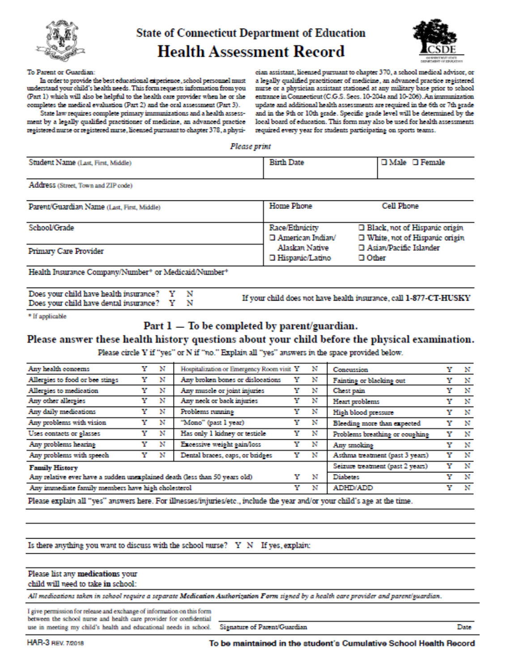

### **State of Connecticut Department of Education Health Assessment Record**



#### To Parent or Guardian:

In order to provide the best educational experience, school personnel must understand your child's health needs. This form requests information from you (Part 1) which will also be helpful to the health care provider when he or she completes the medical evaluation (Part 2) and the oral assessment (Part 3).

State law requires complete primary immunizations and a health assessment by a legally qualified practitioner of medicine, an advanced practice registered nurse or registered muse, licensed pursuant to chapter 378, a physi-

cian assistant, licensed pursuant to chapter 370, a school medical advisor, or a legally qualified practitioner of medicine, an advanced practice registered murse or a physician assistant stationed at any military base prior to school entrance in Connecticut (C.G.S. Secs. 10-204a and 10-206). An immunization update and additional health assessments are required in the 6th or 7th grade and in the 9th or 10th grade. Specific grade level will be determined by the local board of education. This form may also be used for health assessments required every year for students participating on sports teams.

Please print

| Student Name (Last, First, Middle)         | <b>Birth Date</b>                                   | □ Male □ Female                                                    |
|--------------------------------------------|-----------------------------------------------------|--------------------------------------------------------------------|
| Address (Street, Town and ZIP code)        |                                                     |                                                                    |
| Parent/Guardian Name (Last, First, Middle) | Home Phone                                          | Cell Phone                                                         |
| School/Grade                               | Race/Ethnicity<br>□ American Indian/                | □ Black, not of Hispanic origin<br>□ White, not of Hispanic origin |
| Primary Care Provider                      | Alaskan Native<br>□ Hispanic/Latino<br>$\Box$ Other | □ Asian/Pacific Islander                                           |

Health Insurance Company/Number\* or Medicaid/Number\*

| Does your child have health insurance? Y N<br>Does your child have dental insurance? Y N |  | If your child does not have health insurance, call 1-877-CT-HUSKY |
|------------------------------------------------------------------------------------------|--|-------------------------------------------------------------------|
|------------------------------------------------------------------------------------------|--|-------------------------------------------------------------------|

\* If applicable

#### Part  $1 -$  To be completed by parent/guardian.

#### Please answer these health history questions about your child before the physical examination.

Please circle Y if "yes" or N if "no." Explain all "yes" answers in the space provided below.

| Any health concerns                                                        | Y | N | Hospitalization or Emergency Room visit Y |   | N | Concussion                       |   | Y N |
|----------------------------------------------------------------------------|---|---|-------------------------------------------|---|---|----------------------------------|---|-----|
| Allergies to food or bee stings                                            | Y | N | Any broken bones or dislocations          | Y | N | Fainting or blacking out         | Y | N   |
| Allergies to medication                                                    | Y | N | Any muscle or joint injuries              | Y | N | Chest pain                       | Y | N   |
| Any other allergies                                                        | Y | N | Any neek or back injuries                 |   | N | Heart problems                   | Y | N   |
| Any daily medications                                                      |   | N | Problems running                          |   | N | High blood pressure              | Y | N   |
| Any problems with vision                                                   |   | N | "Mono" (past 1 year)                      |   | N | Bleeding more than expected      | Y | N   |
| Uses contacts or glasses                                                   | Y | N | Has only 1 kidney or testicle             | Y | N | Problems breathing or coughing   | Y | N   |
| Any problems hearing                                                       |   | N | Excessive weight gain/loss                | Y | N | Any smoking                      | Y | N   |
| Any problems with speech                                                   |   | N | Dental braces, caps, or bridges           | Y | N | Asthma treatment (past 3 years)  | Y | N   |
| <b>Family History</b>                                                      |   |   |                                           |   |   | Seizure treatment (past 2 years) | Y | N   |
| Any relative ever have a sudden unexplained death (less than 50 years old) |   |   |                                           |   | N | <b>Diabetes</b>                  | v | N   |
| Any immediate family members have high cholesterol                         |   |   |                                           | Y | N | ADHD/ADD                         | Y | - N |
|                                                                            |   |   |                                           |   |   |                                  |   |     |

Please explain all "yes" answers here. For illnesses/injuries/etc., include the year and/or your child's age at the time.

Is there anything you want to discuss with the school nurse?  $Y \times N$  If yes, explain:

|  |  | Please list any medications your |  |  |
|--|--|----------------------------------|--|--|
|--|--|----------------------------------|--|--|

child will need to take in school:

All medications taken in school require a separate Medication Authorization Form signed by a health care provider and parent/guardian.

I give permission for release and exchange of information on this form between the school nurse and health care provider for confidential use in meeting my child's health and educational needs in school.

Signature of Parent/Guardian

Date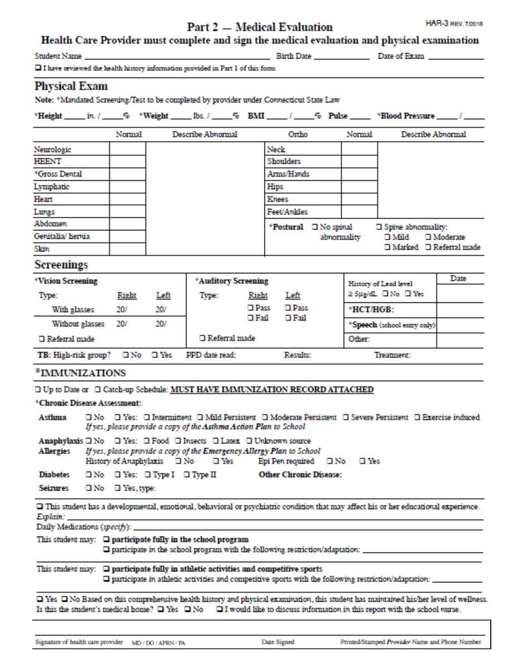#### **Part 2 – Medical Evaluation**

#### Health Care Provider must complete and sign the medical evaluation and physical examination

| <b>Student Name</b> |  |  |  |
|---------------------|--|--|--|
|                     |  |  |  |

HAR-3 REV. 7/2018

 $\square$  I have reviewed the health history information provided in Part 1 of this form

#### **Physical Exam**

Note: \*Mandated Screening/Test to be completed by provider under Connecticut State Law

|  |  |  |  |  |  |  |  |  |  | "Height _____ in. / _____% = "Weight ______ Ibs. / _____% BMI _____ / _____% Pulse ______ *Blood Pressure _____ / _____ |  |  |
|--|--|--|--|--|--|--|--|--|--|-------------------------------------------------------------------------------------------------------------------------|--|--|
|--|--|--|--|--|--|--|--|--|--|-------------------------------------------------------------------------------------------------------------------------|--|--|

|                   | Normal | Describe Abnormal | Ortho                 | Normal      | Describe Abnormal                  |
|-------------------|--------|-------------------|-----------------------|-------------|------------------------------------|
| Neurologic        |        |                   | Neck                  |             |                                    |
| HEENT             |        |                   | Shoulders             |             |                                    |
| *Gross Dental     |        |                   | Arms/Hands            |             |                                    |
| Lymphatic         |        |                   | Hips                  |             |                                    |
| Heart             |        |                   | <b>Knees</b>          |             |                                    |
| Lungs             |        |                   | Feet/Ankles           |             |                                    |
| Abdomen           |        |                   | *Postural I No spinal |             | □ Spine abnormality:               |
| Genitalia/ hernia |        |                   |                       | abnormality | $\Box$ Moderate<br>$\square$ Mild  |
| Skin              |        |                   |                       |             | $\Box$ Marked $\Box$ Referral made |

#### **Screenings**

| *Vision Screening    |              |             | *Auditory Screening  |                |                | History of Lead level       | Date |
|----------------------|--------------|-------------|----------------------|----------------|----------------|-----------------------------|------|
| Type:                | <b>Right</b> | <u>Left</u> | Type:                | Right          | Left           | ≥ 5µg/dL □ No □ Yes         |      |
| With glasses         | 20/          | 20/         |                      | $\square$ Pass | $\square$ Pass | *HCT/HGB:                   |      |
| Without glasses      | 20/          | 20/         |                      | $\square$ Fail | $\square$ Fail | *Speech (school entry only) |      |
| □ Referral made      |              |             | $\Box$ Referral made |                |                | Other:                      |      |
| TB: High-risk group? |              | □No □Yes    | PPD date read:       |                | Results:       | Treatment:                  |      |

#### \*IMMUNIZATIONS

□ Up to Date or □ Catch-up Schedule: MUST HAVE IMMUNIZATION RECORD ATTACHED

#### \*Chronic Disease Assessment:

| Asthma |  |                                                                   | $\Box$ No $\Box$ Yes: $\Box$ Intermittent $\Box$ Mild Persistent $\Box$ Moderate Persistent $\Box$ Severe Persistent $\Box$ Exercise induced |  |
|--------|--|-------------------------------------------------------------------|----------------------------------------------------------------------------------------------------------------------------------------------|--|
|        |  | If yes, please provide a copy of the Asthma Action Plan to School |                                                                                                                                              |  |

|                                            |  |                                             | Anaphylaxis $\Box$ No $\Box$ Yes: $\Box$ Food $\Box$ Insects $\Box$ Latex $\Box$ Unknown source |  |
|--------------------------------------------|--|---------------------------------------------|-------------------------------------------------------------------------------------------------|--|
| Allergies                                  |  |                                             | If yes, please provide a copy of the Emergency Allergy Plan to School                           |  |
|                                            |  | History of Anaphylaxis $\Box$ No $\Box$ Yes | Epi Pen required $\Box$ No $\Box$ Yes                                                           |  |
| Diabetes <b>DNo DYes: DType I DType II</b> |  |                                             | <b>Other Chronic Disease:</b>                                                                   |  |
| Seizures □ No □ Yes, type:                 |  |                                             |                                                                                                 |  |

O This student has a developmental, emotional, behavioral or psychiatric condition that may affect his or her educational experience. Explain:

Daily Medications (specify):

#### This student may:  $\Box$  participate fully in the school program

 $\square$  participate in the school program with the following restriction/adaptation:

#### This student may:  $\Box$  participate fully in athletic activities and competitive sports

 $\square$  participate in athletic activities and competitive sports with the following restriction/adaptation:  $\bot$ 

□ Yes □ No Based on this comprehensive health history and physical examination, this student has maintained his/her level of wellness. Is this the student's medical home?  $\Box$  Yes  $\Box$  No  $\Box$  I would like to discuss information in this report with the school nurse.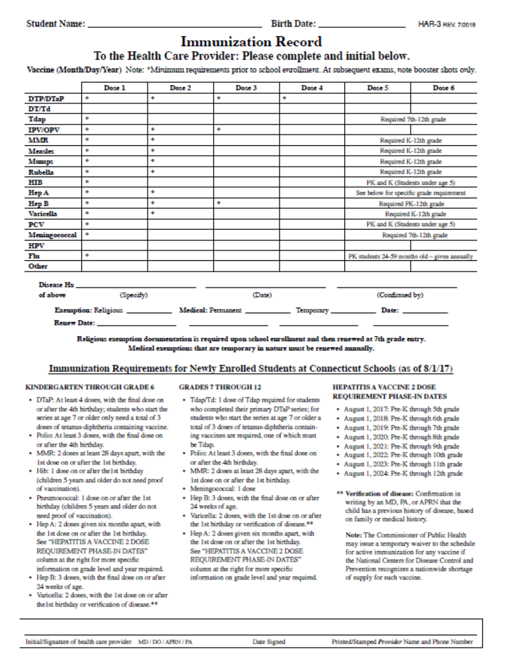### **Immunization Record**

#### To the Health Care Provider: Please complete and initial below.

Vaccine (Month/Day/Year) Note: \*Minimum requirements prior to school enrollment. At subsequent exams, note booster shots only.

|                  | Dose 1    | Dose 2                                                                                                                                                                                                                         | Dose 3 | Dose 4 | Dose 5                                                                                                                  | Dose 6                  |  |
|------------------|-----------|--------------------------------------------------------------------------------------------------------------------------------------------------------------------------------------------------------------------------------|--------|--------|-------------------------------------------------------------------------------------------------------------------------|-------------------------|--|
| <b>DTP/DTaP</b>  | ۰         | ۰                                                                                                                                                                                                                              | ۰      | ۰      |                                                                                                                         |                         |  |
| DT/Td            |           |                                                                                                                                                                                                                                |        |        |                                                                                                                         |                         |  |
| Tdap             | ۰         |                                                                                                                                                                                                                                |        |        |                                                                                                                         | Required 7th-12th grade |  |
| <b>IPV/OPV</b>   | ۰         | ۰                                                                                                                                                                                                                              | ۰      |        |                                                                                                                         |                         |  |
| MMR              | ۰         | ۰                                                                                                                                                                                                                              |        |        |                                                                                                                         | Required K-12th grade   |  |
| <b>Measles</b>   | ۰         | ۰                                                                                                                                                                                                                              |        |        |                                                                                                                         | Required K-12th grade   |  |
| Mumps            | ۰         | ۰                                                                                                                                                                                                                              |        |        |                                                                                                                         | Required K-12th grade   |  |
| Rubella          | ۰         | ۰                                                                                                                                                                                                                              |        |        |                                                                                                                         | Required K-12th grade   |  |
| HІB              | ۰         |                                                                                                                                                                                                                                |        |        | PK and K (Students under age 5)                                                                                         |                         |  |
| Hep A            | ۰         | ۰                                                                                                                                                                                                                              |        |        | See below for specific grade requirement                                                                                |                         |  |
| Hep B            | ۰         | ۰                                                                                                                                                                                                                              | ۰      |        |                                                                                                                         | Required PK-12th grade  |  |
| <b>Varicella</b> | ۰         | ۰                                                                                                                                                                                                                              |        |        | Required K-12th grade                                                                                                   |                         |  |
| PCV              | ۰         |                                                                                                                                                                                                                                |        |        | PK and K (Students under age 5)                                                                                         |                         |  |
| Meningococcal    | ٠         |                                                                                                                                                                                                                                |        |        |                                                                                                                         | Required 7th-12th grade |  |
| <b>HPV</b>       |           |                                                                                                                                                                                                                                |        |        |                                                                                                                         |                         |  |
| Flu              | ۰         |                                                                                                                                                                                                                                |        |        | PK students 24-59 months old - given annually                                                                           |                         |  |
| Other            |           |                                                                                                                                                                                                                                |        |        |                                                                                                                         |                         |  |
| Disease Hx       |           |                                                                                                                                                                                                                                |        |        |                                                                                                                         |                         |  |
| of above         | (Specify) |                                                                                                                                                                                                                                | (Date) |        | (Confirmed by)                                                                                                          |                         |  |
|                  |           |                                                                                                                                                                                                                                |        |        | Exemption: Religious _______________ Medical: Permanent ______________ Temporary ______________ Date: ______________    |                         |  |
|                  |           | Renew Date: The Contract of the Contract of the Contract of the Contract of the Contract of the Contract of the Contract of the Contract of the Contract of the Contract of the Contract of the Contract of the Contract of th |        |        |                                                                                                                         |                         |  |
|                  |           |                                                                                                                                                                                                                                |        |        | Deligious communicated discovered in the control communicated constituents and their communicated at 7th annual control |                         |  |

ation is required upon seh it and then renewed at 7th grade entry. **Rengious** exc Medical exemptions that are temporary in nature must be renewed annually.

#### Immunization Requirements for Newly Enrolled Students at Connecticut Schools (as of 8/1/17)

#### **KINDERGARTEN THROUGH GRADE 6**

- · DTaP: At least 4 doses, with the final dose on or after the 4th birthday; students who start the series at age 7 or older only need a total of 3 doses of tetanus-diphtheria containing vaccine.
- Police At least 3 doses, with the final dose on or after the 4th birthday.
- MMR: 2 doses at least 28 days apart, with the 1st dose on or after the 1st birthday.
- Hib: 1 dose on or after the 1st birthday (children 5 years and older do not need proof of vaccination).
- · Pneumococcal: 1 dose on or after the 1st birthday (children 5 years and older do not need proof of vaccination).
- Hep A: 2 doses given six months apart, with the 1st dose on or after the 1st birthday. See "HEPATITIS A VACCINE 2 DOSE REQUIREMENT PHASE-IN DATES" column at the right for more specific information on grade level and year required.
- · Hep B: 3 doses, with the final dose on or after 24 weeks of age.
- Varicella: 2 doses, with the 1st dose on or after the lst birthday or verification of disease.<sup>\*\*</sup>

#### **GRADES 7 THROUGH 12**

- · Tdap/Td: 1 dose of Tdap required for students who completed their primary DTaP series; for students who start the series at age 7 or older a total of 3 doses of tetanus-diphtheria containing vaccines are required, one of which must be Tdap.
- Polio: At least 3 doses, with the final dose on or after the 4th birthday.
- MMR: 2 doses at least 28 days apart, with the 1st dose on or after the 1st birthday.
- · Meningococcal: 1 dose
- Hep B: 3 doses, with the final dose on or after 24 weeks of age.
- · Varicella: 2 doses, with the 1st dose on or after the 1st birthday or verification of disease.<sup>88</sup>
- Hep A: 2 doses given six months apart, with the 1st dose on or after the 1st birthday. See "HEPATITIS A VACCINE 2 DOSE REQUIREMENT PHASE-IN DATES" column at the right for more specific information on grade level and year required.

#### **HEPATITIS A VACCINE 2 DOSE REQUIREMENT PHASE-IN DATES**

- · August 1, 2017: Pre-K through 5th grade
- · August 1, 2018: Pre-K through 6th grade
- · August 1, 2019: Pre-K through 7th grade
- + August 1, 2020: Pre-K through 8th grade
- + August 1, 2021: Pre-K through 9th grade
- August 1, 2022: Pre-K through 10th grade
- August 1, 2023: Pre-K through 11th grade
- · August 1, 2024: Pre-K through 12th grade
- \*\* Verification of disease: Confirmation in writing by an MD, PA, or APRN that the child has a previous history of disease, based on family or medical history.

Note: The Commissioner of Public Health may issue a temporary waiver to the schedule for active immunization for any vaccine if the National Centers for Disease Control and Prevention recognizes a nationwide shortage of supply for such vaccine.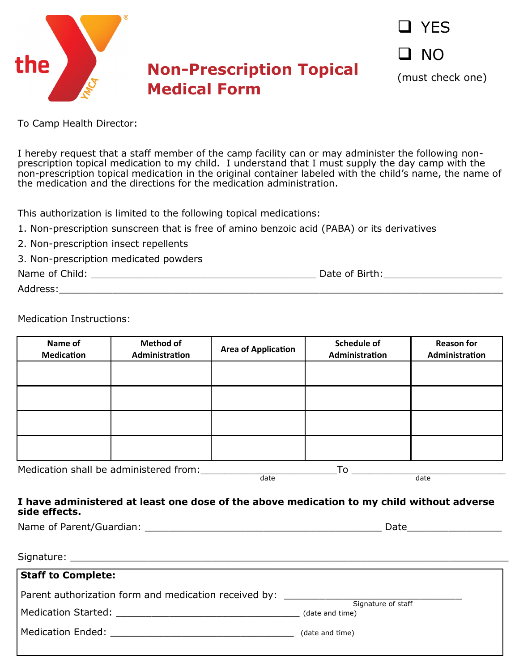

❑ YES ❑ NO

(must check one)

To Camp Health Director:

I hereby request that a staff member of the camp facility can or may administer the following nonprescription topical medication to my child. I understand that I must supply the day camp with the non-prescription topical medication in the original container labeled with the child's name, the name of the medication and the directions for the medication administration.

This authorization is limited to the following topical medications:

- 1. Non-prescription sunscreen that is free of amino benzoic acid (PABA) or its derivatives
- 2. Non-prescription insect repellents
- 3. Non-prescription medicated powders

Name of Child: \_\_\_\_\_\_\_\_\_\_\_\_\_\_\_\_\_\_\_\_\_\_\_\_\_\_\_\_\_\_\_\_\_\_\_\_\_\_ Date of Birth:\_\_\_\_\_\_\_\_\_\_\_\_\_\_\_\_\_\_\_\_

Address:\_\_\_\_\_\_\_\_\_\_\_\_\_\_\_\_\_\_\_\_\_\_\_\_\_\_\_\_\_\_\_\_\_\_\_\_\_\_\_\_\_\_\_\_\_\_\_\_\_\_\_\_\_\_\_\_\_\_\_\_\_\_\_\_\_\_\_\_\_\_\_\_\_\_\_

Medication Instructions:

| Name of<br><b>Medication</b>                          | <b>Method of</b><br>Administration | <b>Area of Application</b> | <b>Schedule of</b><br>Administration | <b>Reason for</b><br>Administration |  |  |
|-------------------------------------------------------|------------------------------------|----------------------------|--------------------------------------|-------------------------------------|--|--|
|                                                       |                                    |                            |                                      |                                     |  |  |
|                                                       |                                    |                            |                                      |                                     |  |  |
|                                                       |                                    |                            |                                      |                                     |  |  |
|                                                       |                                    |                            |                                      |                                     |  |  |
| Modication aboll be administered from:<br>$T_{\rm c}$ |                                    |                            |                                      |                                     |  |  |

Medication shall be administered from:\_\_\_\_\_\_\_\_\_\_\_\_\_\_\_\_\_\_\_\_\_\_\_To \_\_\_\_\_\_\_\_\_\_\_\_\_\_\_\_\_\_\_\_\_\_\_\_\_\_ date date date date date date date date

#### **I have administered at least one dose of the above medication to my child without adverse side effects.**

Name of Parent/Guardian: example of Parent/Guardian:

| <b>Staff to Complete:</b>                                                                                                                                                                                                      |                                       |
|--------------------------------------------------------------------------------------------------------------------------------------------------------------------------------------------------------------------------------|---------------------------------------|
| Parent authorization form and medication received by: __________________________                                                                                                                                               | Signature of staff<br>(date and time) |
| Medication Ended: New York State of the Second State of the Second State of the Second State of the Second State of the Second State of the Second State of the Second State of the Second State of the Second State of the Se | (date and time)                       |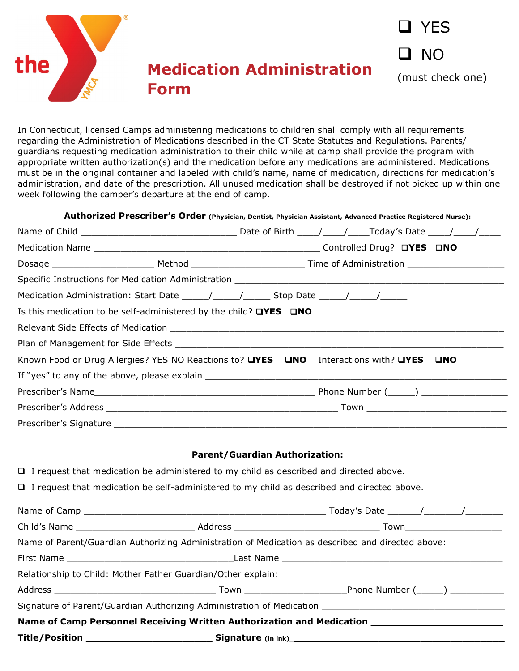

In Connecticut, licensed Camps administering medications to children shall comply with all requirements regarding the Administration of Medications described in the CT State Statutes and Regulations. Parents/ guardians requesting medication administration to their child while at camp shall provide the program with appropriate written authorization(s) and the medication before any medications are administered. Medications must be in the original container and labeled with child's name, name of medication, directions for medication's administration, and date of the prescription. All unused medication shall be destroyed if not picked up within one week following the camper's departure at the end of camp.

| Authorized Prescriber's Order (Physician, Dentist, Physician Assistant, Advanced Practice Registered Nurse): |  |  |  |  |
|--------------------------------------------------------------------------------------------------------------|--|--|--|--|
|                                                                                                              |  |  |  |  |
|                                                                                                              |  |  |  |  |
|                                                                                                              |  |  |  |  |
|                                                                                                              |  |  |  |  |
| Medication Administration: Start Date ______/______/_______Stop Date ______/______/_________________         |  |  |  |  |
| Is this medication to be self-administered by the child? $\Box$ YES $\Box$ NO                                |  |  |  |  |
|                                                                                                              |  |  |  |  |
|                                                                                                              |  |  |  |  |
| Known Food or Drug Allergies? YES NO Reactions to? <b>QYES</b> QNO Interactions with? QYES QNO               |  |  |  |  |
|                                                                                                              |  |  |  |  |
|                                                                                                              |  |  |  |  |
|                                                                                                              |  |  |  |  |
|                                                                                                              |  |  |  |  |
|                                                                                                              |  |  |  |  |

#### **Parent/Guardian Authorization:**

| $\Box$ I request that medication be administered to my child as described and directed above.      |                                                                                                              |  |
|----------------------------------------------------------------------------------------------------|--------------------------------------------------------------------------------------------------------------|--|
| $\Box$ I request that medication be self-administered to my child as described and directed above. |                                                                                                              |  |
|                                                                                                    |                                                                                                              |  |
|                                                                                                    |                                                                                                              |  |
| Name of Parent/Guardian Authorizing Administration of Medication as described and directed above:  |                                                                                                              |  |
|                                                                                                    |                                                                                                              |  |
|                                                                                                    |                                                                                                              |  |
|                                                                                                    |                                                                                                              |  |
|                                                                                                    | Signature of Parent/Guardian Authorizing Administration of Medication ______________________________         |  |
|                                                                                                    | Name of Camp Personnel Receiving Written Authorization and Medication <b>Name of Camp Personnel Receiver</b> |  |
|                                                                                                    |                                                                                                              |  |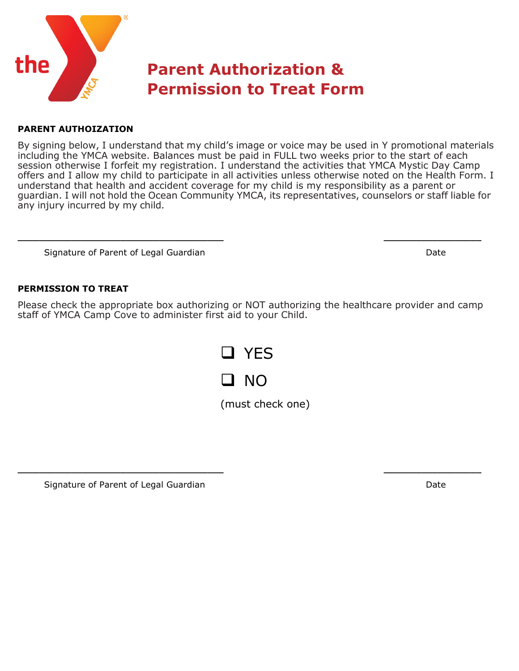

#### **PARENT AUTHOIZATION**

By signing below, I understand that my child's image or voice may be used in Y promotional materials including the YMCA website. Balances must be paid in FULL two weeks prior to the start of each session otherwise I forfeit my registration. I understand the activities that YMCA Mystic Day Camp offers and I allow my child to participate in all activities unless otherwise noted on the Health Form. I understand that health and accident coverage for my child is my responsibility as a parent or guardian. I will not hold the Ocean Community YMCA, its representatives, counselors or staff liable for any injury incurred by my child.

Signature of Parent of Legal GuardianDate

#### **PERMISSION TO TREAT**

Please check the appropriate box authorizing or NOT authorizing the healthcare provider and camp staff of YMCA Camp Cove to administer first aid to your Child.

**\_\_\_\_\_\_\_\_\_\_\_\_\_\_\_\_\_\_\_\_\_\_\_\_\_\_\_\_\_\_\_\_\_\_\_\_\_\_ \_\_\_\_\_\_\_\_\_\_\_\_\_\_\_\_\_\_**



**\_\_\_\_\_\_\_\_\_\_\_\_\_\_\_\_\_\_\_\_\_\_\_\_\_\_\_\_\_\_\_\_\_\_\_\_\_\_ \_\_\_\_\_\_\_\_\_\_\_\_\_\_\_\_\_\_**

(must check one)

Signature of Parent of Legal Guardian **Date Date Date Date Date**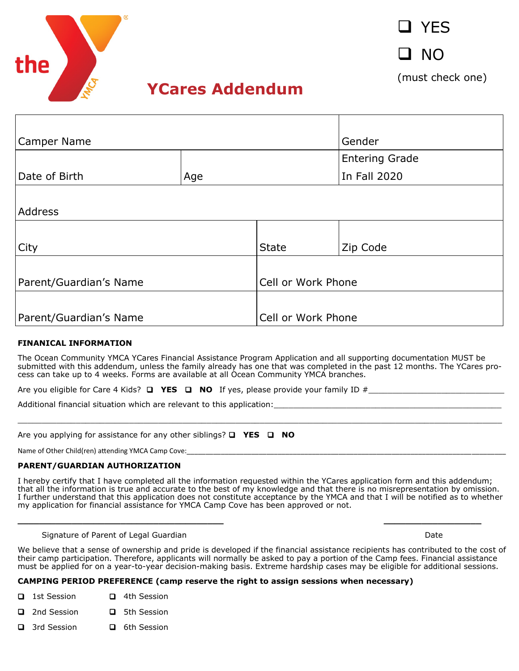

❑ YES

❑ NO

(must check one)

## **YCares Addendum**

| <b>Camper Name</b>     |     |                    | Gender                |  |
|------------------------|-----|--------------------|-----------------------|--|
|                        |     |                    | <b>Entering Grade</b> |  |
| Date of Birth          | Age |                    | In Fall 2020          |  |
|                        |     |                    |                       |  |
| Address                |     |                    |                       |  |
|                        |     |                    |                       |  |
| City                   |     | <b>State</b>       | Zip Code              |  |
|                        |     |                    |                       |  |
| Parent/Guardian's Name |     | Cell or Work Phone |                       |  |
|                        |     |                    |                       |  |
| Parent/Guardian's Name |     | Cell or Work Phone |                       |  |

#### **FINANICAL INFORMATION**

The Ocean Community YMCA YCares Financial Assistance Program Application and all supporting documentation MUST be submitted with this addendum, unless the family already has one that was completed in the past 12 months. The YCares process can take up to 4 weeks. Forms are available at all Ocean Community YMCA branches.

\_\_\_\_\_\_\_\_\_\_\_\_\_\_\_\_\_\_\_\_\_\_\_\_\_\_\_\_\_\_\_\_\_\_\_\_\_\_\_\_\_\_\_\_\_\_\_\_\_\_\_\_\_\_\_\_\_\_\_\_\_\_\_\_\_\_\_\_\_\_\_\_\_\_\_\_\_\_\_\_\_\_\_\_\_\_\_\_\_\_\_\_\_\_\_\_\_\_\_\_

Are you eligible for Care 4 Kids? ❑ **YES** ❑ **NO** If yes, please provide your family ID #\_\_\_\_\_\_\_\_\_\_\_\_\_\_\_\_\_\_\_\_\_\_\_\_\_\_\_\_

Additional financial situation which are relevant to this application:

Are you applying for assistance for any other siblings? ❑ **YES** ❑ **NO** 

Name of Other Child(ren) attending YMCA Camp Cove:

#### **PARENT/GUARDIAN AUTHORIZATION**

I hereby certify that I have completed all the information requested within the YCares application form and this addendum; that all the information is true and accurate to the best of my knowledge and that there is no misrepresentation by omission. I further understand that this application does not constitute acceptance by the YMCA and that I will be notified as to whether my application for financial assistance for YMCA Camp Cove has been approved or not.

**\_\_\_\_\_\_\_\_\_\_\_\_\_\_\_\_\_\_\_\_\_\_\_\_\_\_\_\_\_\_\_\_\_\_\_\_\_\_ \_\_\_\_\_\_\_\_\_\_\_\_\_\_\_\_\_\_**

#### Signature of Parent of Legal GuardianDate

We believe that a sense of ownership and pride is developed if the financial assistance recipients has contributed to the cost of their camp participation. Therefore, applicants will normally be asked to pay a portion of the Camp fees. Financial assistance must be applied for on a year-to-year decision-making basis. Extreme hardship cases may be eligible for additional sessions.

#### **CAMPING PERIOD PREFERENCE (camp reserve the right to assign sessions when necessary)**

- ❑ 1st Session ❑ 4th Session
- ❑ 2nd Session ❑ 5th Session
- ❑ 3rd Session ❑ 6th Session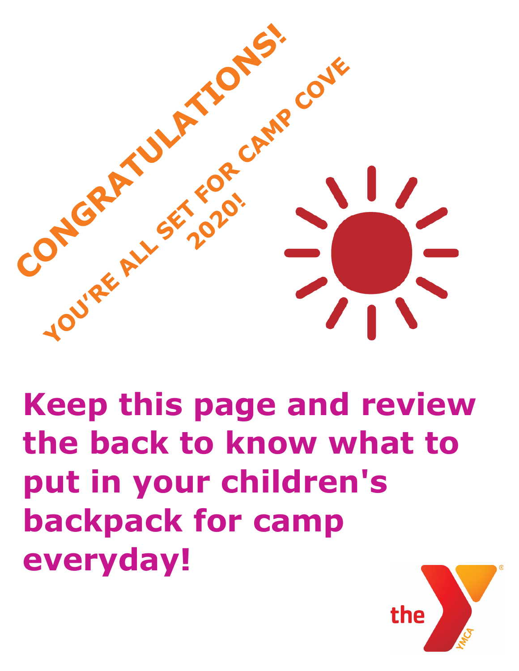

## **Keep this page and review the back to know what to put in your children's backpack for camp everyday!**